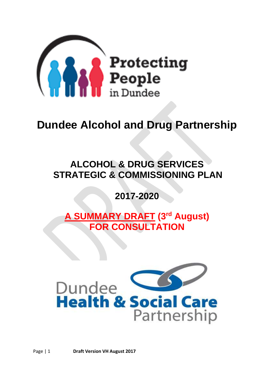

# **Dundee Alcohol and Drug Partnership**

# **ALCOHOL & DRUG SERVICES STRATEGIC & COMMISSIONING PLAN**

# **2017-2020**

**A SUMMARY DRAFT (3rd August) FOR CONSULTATION**

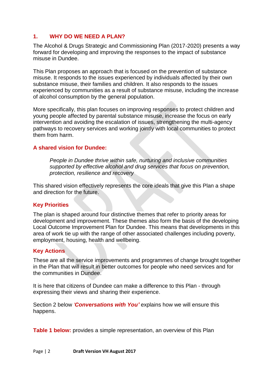# **1. WHY DO WE NEED A PLAN?**

The Alcohol & Drugs Strategic and Commissioning Plan (2017-2020) presents a way forward for developing and improving the responses to the impact of substance misuse in Dundee.

This Plan proposes an approach that is focused on the prevention of substance misuse. It responds to the issues experienced by individuals affected by their own substance misuse, their families and children. It also responds to the issues experienced by communities as a result of substance misuse, including the increase of alcohol consumption by the general population.

More specifically, this plan focuses on improving responses to protect children and young people affected by parental substance misuse, increase the focus on early intervention and avoiding the escalation of issues, strengthening the multi-agency pathways to recovery services and working jointly with local communities to protect them from harm.

### **A shared vision for Dundee:**

*People in Dundee thrive within safe, nurturing and inclusive communities supported by effective alcohol and drug services that focus on prevention, protection, resilience and recovery* 

This shared vision effectively represents the core ideals that give this Plan a shape and direction for the future.

# **Key Priorities**

The plan is shaped around four distinctive themes that refer to priority areas for development and improvement. These themes also form the basis of the developing Local Outcome Improvement Plan for Dundee. This means that developments in this area of work tie up with the range of other associated challenges including poverty, employment, housing, health and wellbeing.

# **Key Actions**

These are all the service improvements and programmes of change brought together in the Plan that will result in better outcomes for people who need services and for the communities in Dundee.

It is here that citizens of Dundee can make a difference to this Plan - through expressing their views and sharing their experience.

Section 2 below *'Conversations with You'* explains how we will ensure this happens.

**Table 1 below:** provides a simple representation, an overview of this Plan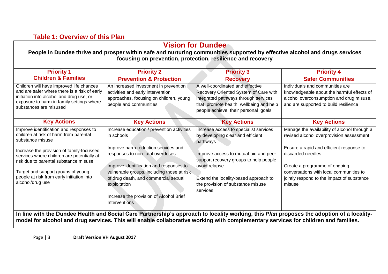# **Table 1: Overview of this Plan**

| <b>Priority 1</b>                                                                                                                                                                                           | <b>Priority 2</b>                                                                                                                               | <b>Priority 3</b>                                                                                                                                                                                   | <b>Priority 4</b>                                                                                                                                                  |
|-------------------------------------------------------------------------------------------------------------------------------------------------------------------------------------------------------------|-------------------------------------------------------------------------------------------------------------------------------------------------|-----------------------------------------------------------------------------------------------------------------------------------------------------------------------------------------------------|--------------------------------------------------------------------------------------------------------------------------------------------------------------------|
| <b>Children &amp; Families</b>                                                                                                                                                                              | <b>Prevention &amp; Protection</b>                                                                                                              | <b>Recovery</b>                                                                                                                                                                                     | <b>Safer Communities</b>                                                                                                                                           |
| Children will have improved life chances<br>and are safer where there is a risk of early<br>initiation into alcohol and drug use, or<br>exposure to harm in family settings where<br>substances are misused | An increased investment in prevention<br>activities and early intervention<br>approaches, focusing on children, young<br>people and communities | A well-coordinated and effective<br>Recovery Oriented System of Care with<br>integrated pathways through services<br>that promote health, wellbeing and help<br>people achieve their personal goals | Individuals and communities are<br>knowledgeable about the harmful effects of<br>alcohol overconsumption and drug misuse,<br>and are supported to build resilience |
| <b>Key Actions</b>                                                                                                                                                                                          | <b>Key Actions</b>                                                                                                                              | <b>Key Actions</b>                                                                                                                                                                                  | <b>Key Actions</b>                                                                                                                                                 |
| Improve identification and responses to<br>children at risk of harm from parental<br>substance misuse                                                                                                       | Increase education / prevention activities<br>in schools                                                                                        | Increase access to specialist services<br>by developing clear and efficient<br>pathways                                                                                                             | Manage the availability of alcohol through a<br>revised alcohol overprovision assessment                                                                           |
| Increase the provision of family-focussed<br>services where children are potentially at<br>risk due to parental substance misuse                                                                            | Improve harm reduction services and<br>responses to non-fatal overdoses                                                                         | Improve access to mutual-aid and peer-<br>support recovery groups to help people                                                                                                                    | Ensure a rapid and efficient response to<br>discarded needles                                                                                                      |
| Target and support groups of young<br>people at risk from early initiation into<br>alcohol/drug use                                                                                                         | Improve identification and responses to<br>vulnerable groups, including those at risk<br>of drug death, and commercial sexual<br>exploitation   | avoid relapse<br>Extend the locality-based approach to<br>the provision of substance misuse<br>services                                                                                             | Create a programme of ongoing<br>conversations with local communities to<br>jointly respond to the impact of substance<br>misuse                                   |
|                                                                                                                                                                                                             | Increase the provision of Alcohol Brief<br>Interventions                                                                                        |                                                                                                                                                                                                     |                                                                                                                                                                    |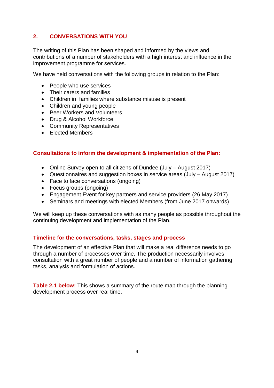# **2. CONVERSATIONS WITH YOU**

The writing of this Plan has been shaped and informed by the views and contributions of a number of stakeholders with a high interest and influence in the improvement programme for services.

We have held conversations with the following groups in relation to the Plan:

- People who use services
- Their carers and families
- Children in families where substance misuse is present
- Children and young people
- Peer Workers and Volunteers
- Drug & Alcohol Workforce
- Community Representatives
- Elected Members

### **Consultations to inform the development & implementation of the Plan:**

- Online Survey open to all citizens of Dundee (July August 2017)
- Questionnaires and suggestion boxes in service areas (July August 2017)
- Face to face conversations (ongoing)
- Focus groups (ongoing)
- Engagement Event for key partners and service providers (26 May 2017)
- Seminars and meetings with elected Members (from June 2017 onwards)

We will keep up these conversations with as many people as possible throughout the continuing development and implementation of the Plan.

# **Timeline for the conversations, tasks, stages and process**

The development of an effective Plan that will make a real difference needs to go through a number of processes over time. The production necessarily involves consultation with a great number of people and a number of information gathering tasks, analysis and formulation of actions.

**Table 2.1 below:** This shows a summary of the route map through the planning development process over real time.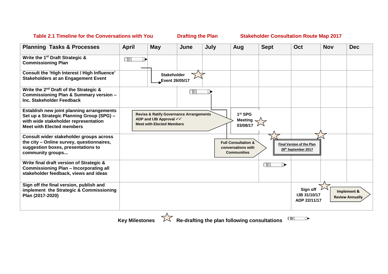# Table 2.1 Timeline for the Conversations with You **Drafting the Plan Stakeholder Consultation Route Map 2017**

| <b>Planning Tasks &amp; Processes</b>                                                                                                                              | <b>April</b> | <b>May</b>                                                                                                        | June | July | Aug                                                                        | <b>Sept</b> | Oct                                                     | <b>Nov</b> | <b>Dec</b>                            |
|--------------------------------------------------------------------------------------------------------------------------------------------------------------------|--------------|-------------------------------------------------------------------------------------------------------------------|------|------|----------------------------------------------------------------------------|-------------|---------------------------------------------------------|------------|---------------------------------------|
| Write the 1 <sup>st</sup> Draft Strategic &<br><b>Commissioning Plan</b>                                                                                           | СŒ           |                                                                                                                   |      |      |                                                                            |             |                                                         |            |                                       |
| Consult the 'High Interest / High Influence'<br><b>Stakeholders at an Engagement Event</b>                                                                         |              | <b>Stakeholder</b><br>Event 26/05/17                                                                              |      |      |                                                                            |             |                                                         |            |                                       |
| Write the 2 <sup>nd</sup> Draft of the Strategic &<br>Commissioning Plan & Summary version -<br>Inc. Stakeholder Feedback                                          |              |                                                                                                                   | CUU  |      |                                                                            |             |                                                         |            |                                       |
| Establish new joint planning arrangements<br>Set up a Strategic Planning Group (SPG) -<br>with wide stakeholder representation<br><b>Meet with Elected members</b> |              | <b>Revise &amp; Ratify Governance Arrangements</b><br>ADP and IJB Approval √√<br><b>Meet with Elected Members</b> |      |      | 1 <sup>st</sup> SPG<br><b>Meeting</b><br>03/08/17                          |             |                                                         |            |                                       |
| Consult wider stakeholder groups across<br>the city - Online survey, questionnaires,<br>suggestion boxes, presentations to<br>community groups                     |              |                                                                                                                   |      |      | <b>Full Consultation &amp;</b><br>conversations with<br><b>Communities</b> |             | <b>Final Version of the Plan</b><br>28th September 2017 |            |                                       |
| Write final draft version of Strategic &<br><b>Commissioning Plan - Incorporating all</b><br>stakeholder feedback, views and ideas                                 |              |                                                                                                                   |      |      |                                                                            | CIII        |                                                         |            |                                       |
| Sign off the final version, publish and<br>implement the Strategic & Commissioning<br>Plan (2017-2020)                                                             |              |                                                                                                                   |      |      |                                                                            |             | Sign off<br><b>IJB 31/10/17</b><br>ADP 22/11/17         |            | Implement &<br><b>Review Annually</b> |

**Key Milestones**  $\overline{\mathcal{M}}$  Re-drafting the plan following consultations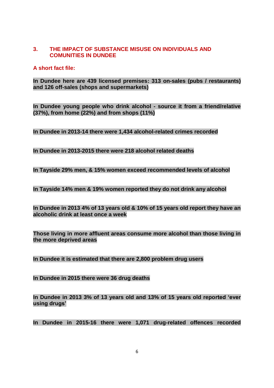# **3. THE IMPACT OF SUBSTANCE MISUSE ON INDIVIDUALS AND COMUNITIES IN DUNDEE**

# **A short fact file:**

**In Dundee here are 439 licensed premises: 313 on-sales (pubs / restaurants) and 126 off-sales (shops and supermarkets)**

**In Dundee young people who drink alcohol - source it from a friend/relative (37%), from home (22%) and from shops (11%)**

**In Dundee in 2013-14 there were 1,434 alcohol-related crimes recorded**

**In Dundee in 2013-2015 there were 218 alcohol related deaths** 

**In Tayside 29% men, & 15% women exceed recommended levels of alcohol**

**In Tayside 14% men & 19% women reported they do not drink any alcohol**

**In Dundee in 2013 4% of 13 years old & 10% of 15 years old report they have an alcoholic drink at least once a week**

**Those living in more affluent areas consume more alcohol than those living in the more deprived areas**

**In Dundee it is estimated that there are 2,800 problem drug users**

**In Dundee in 2015 there were 36 drug deaths**

**In Dundee in 2013 3% of 13 years old and 13% of 15 years old reported 'ever using drugs'** 

**In Dundee in 2015-16 there were 1,071 drug-related offences recorded**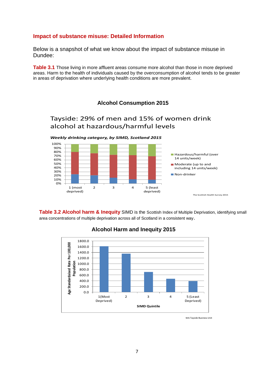#### **Impact of substance misuse: Detailed Information**

Below is a snapshot of what we know about the impact of substance misuse in Dundee:

**Table 3.1** Those living in more affluent areas consume more alcohol than those in more deprived areas. Harm to the health of individuals caused by the overconsumption of alcohol tends to be greater in areas of deprivation where underlying health conditions are more prevalent.

**Alcohol - consumption Alcohol Consumption 2015**

Tayside: 29% of men and 15% of women drink

#### alcohol at hazardous/harmful levels *Weekly drinking category, by SIMD, Scotland 2015* The Scottish Health Survey 2015 0% 10% 20% 30% 40% 50% 60% 70% 80% 90% 100% 1 (most deprived) 2 3 4 5 (least deprived) **Hazardous/harmful (over** 14 units/week) **Moderate (up to and** including 14 units/week) Non-drinker

**Alcohol harm & Inequity** SIMD is the Scottish Index of Multiple Darea concentrations of multiple deprivation across all of Scotland in a consistent way. **Table 3.2 Alcohol harm & Inequity** SIMD is the Scottish Index of Multiple Deprivation, identifying small



#### *Tayside Alcohol Related Attendances (2015) at A&E by SIMD 2016* **Alcohol Harm and Inequity 2015**

NHS Tayside Business Unit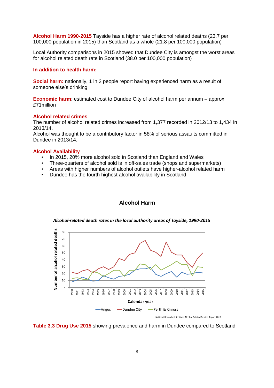**Alcohol Harm 1990-2015** Tayside has a higher rate of alcohol related deaths (23.7 per 100,000 population in 2015) than Scotland as a whole (21.8 per 100,000 population)

Local Authority comparisons in 2015 showed that Dundee City is amongst the worst areas for alcohol related death rate in Scotland (38.0 per 100,000 population)

#### **In addition to health harm:**

**Social harm:** nationally, 1 in 2 people report having experienced harm as a result of someone else's drinking

**Economic harm**: estimated cost to Dundee City of alcohol harm per annum – approx £71million

#### **Alcohol related crimes**

The number of alcohol related crimes increased from 1,377 recorded in 2012/13 to 1,434 in 2013/14.

Alcohol was thought to be a contributory factor in 58% of serious assaults committed in Dundee in 2013/14.

#### **Alcohol Availability**

- In 2015, 20% more alcohol sold in Scotland than England and Wales
- Three-quarters of alcohol sold is in off-sales trade (shops and supermarkets)
- Areas with higher numbers of alcohol outlets have higher-alcohol related harm
- Dundee has the fourth highest alcohol availability in Scotland

# **Alcohol harm Alcohol Harm**

*Alcohol-related death rates in the local authority areas of Tayside, 1990-2015*



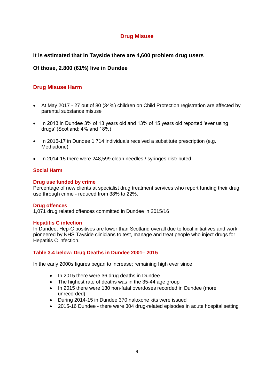# **Drug Misuse**

# **It is estimated that in Tayside there are 4,600 problem drug users**

# **Of those, 2.800 (61%) live in Dundee**

# **Drug Misuse Harm**

- At May 2017 27 out of 80 (34%) children on Child Protection registration are affected by parental substance misuse
- In 2013 in Dundee 3% of 13 years old and 13% of 15 years old reported 'ever using drugs' (Scotland; 4% and 18%)
- In 2016-17 in Dundee 1,714 individuals received a substitute prescription (e.g. Methadone)
- In 2014-15 there were 248,599 clean needles / syringes distributed

# **Social Harm**

#### **Drug use funded by crime**

Percentage of new clients at specialist drug treatment services who report funding their drug use through crime - reduced from 38% to 22%.

#### **Drug offences**

1,071 drug related offences committed in Dundee in 2015/16

#### **Hepatitis C infection**

In Dundee, Hep-C positives are lower than Scotland overall due to local initiatives and work pioneered by NHS Tayside clinicians to test, manage and treat people who inject drugs for Hepatitis C infection.

#### **Table 3.4 below: Drug Deaths in Dundee 2001– 2015**

In the early 2000s figures began to increase; remaining high ever since

- In 2015 there were 36 drug deaths in Dundee
- The highest rate of deaths was in the 35-44 age group
- In 2015 there were 130 non-fatal overdoses recorded in Dundee (more unrecorded)
- During 2014-15 in Dundee 370 naloxone kits were issued
- 2015-16 Dundee there were 304 drug-related episodes in acute hospital setting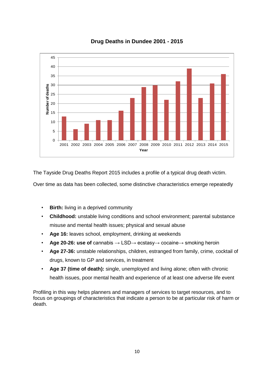

The Tayside Drug Deaths Report 2015 includes a profile of a typical drug death victim.

Over time as data has been collected, some distinctive characteristics emerge repeatedly

- **Birth:** living in a deprived community
- **Childhood:** unstable living conditions and school environment; parental substance misuse and mental health issues; physical and sexual abuse
- **Age 16:** leaves school, employment, drinking at weekends
- **Age 20-26: use of** cannabis → LSD→ ecstasy→ cocaine→ smoking heroin
- **Age 27-36:** unstable relationships, children, estranged from family, crime, cocktail of drugs, known to GP and services, in treatment
- **Age 37 (time of death):** single, unemployed and living alone; often with chronic health issues, poor mental health and experience of at least one adverse life event

Profiling in this way helps planners and managers of services to target resources, and to focus on groupings of characteristics that indicate a person to be at particular risk of harm or death.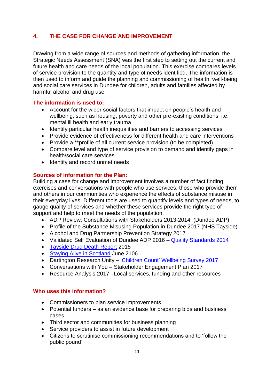# **4. THE CASE FOR CHANGE AND IMPROVEMENT**

Drawing from a wide range of sources and methods of gathering information, the Strategic Needs Assessment (SNA) was the first step to setting out the current and future health and care needs of the local population. This exercise compares levels of service provision to the quantity and type of needs identified. The information is then used to inform and guide the planning and commissioning of health, well-being and social care services in Dundee for children, adults and families affected by harmful alcohol and drug use.

# **The information is used to:**

- Account for the wider social factors that impact on people's health and wellbeing, such as housing, poverty and other pre-existing conditions; i.e. mental ill health and early trauma
- Identify particular health inequalities and barriers to accessing services
- Provide evidence of effectiveness for different health and care interventions
- Provide a \*\*profile of all current service provision (to be completed)
- Compare level and type of service provision to demand and identify gaps in health/social care services
- Identify and record unmet needs

# **Sources of information for the Plan:**

Building a case for change and improvement involves a number of fact finding exercises and conversations with people who use services, those who provide them and others in our communities who experience the effects of substance misuse in their everyday lives. Different tools are used to quantify levels and types of needs, to gauge quality of services and whether these services provide the right type of support and help to meet the needs of the population.

- ADP Review: Consultations with Stakeholders 2013-2014 (Dundee ADP)
- Profile of the Substance Misusing Population in Dundee 2017 (NHS Tayside)
- Alcohol and Drug Partnership Prevention Strategy 2017
- Validated Self Evaluation of Dundee ADP 2016 [Quality Standards 2014](http://www.gov.scot/Resource/0045/00458241.pdf)
- [Tayside Drug Death Report](http://www.dundeepartnership.co.uk/sites/default/files/Tayside%20DD%202015%20REPORT.pdf) 2015
- Staving Alive in Scotland June 2106
- Dartington Research Unity 'Children Count' [Wellbeing Survey 2017](http://www.childrencountscotland.dartington.org.uk/data/pdfs/Dundee%20Improving%20Children)
- Conversations with You Stakeholder Engagement Plan 2017
- Resource Analysis 2017 –Local services, funding and other resources

# **Who uses this information?**

- Commissioners to plan service improvements
- Potential funders as an evidence base for preparing bids and business cases
- Third sector and communities for business planning
- Service providers to assist in future development
- Citizens to scrutinise commissioning recommendations and to 'follow the public pound'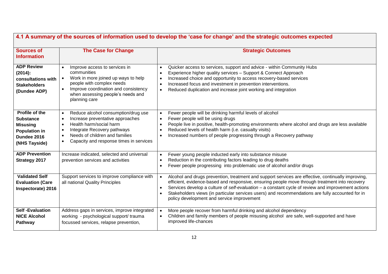| 4.1 A summary of the sources of information used to develop the 'case for change' and the strategic outcomes expected |                                                                                                                                                                                                                                                                                 |                                                                                                                                                                                                                                                                                                                                                                                                                                                                                                     |  |  |  |
|-----------------------------------------------------------------------------------------------------------------------|---------------------------------------------------------------------------------------------------------------------------------------------------------------------------------------------------------------------------------------------------------------------------------|-----------------------------------------------------------------------------------------------------------------------------------------------------------------------------------------------------------------------------------------------------------------------------------------------------------------------------------------------------------------------------------------------------------------------------------------------------------------------------------------------------|--|--|--|
| <b>Sources of</b><br><b>Information</b>                                                                               | <b>The Case for Change</b>                                                                                                                                                                                                                                                      | <b>Strategic Outcomes</b>                                                                                                                                                                                                                                                                                                                                                                                                                                                                           |  |  |  |
| <b>ADP Review</b><br>(2014):<br>consultations with<br><b>Stakeholders</b><br>(Dundee ADP)                             | Improve access to services in<br>$\bullet$<br>communities<br>Work in more joined up ways to help<br>$\bullet$<br>people with complex needs<br>Improve coordination and consistency<br>$\bullet$<br>when assessing people's needs and<br>planning care                           | Quicker access to services, support and advice - within Community Hubs<br>$\bullet$<br>Experience higher quality services - Support & Connect Approach<br>$\bullet$<br>Increased choice and opportunity to access recovery-based services<br>$\bullet$<br>Increased focus and investment in prevention interventions.<br>$\bullet$<br>Reduced duplication and increase joint working and integration<br>$\bullet$                                                                                   |  |  |  |
| Profile of the<br><b>Substance</b><br><b>Misusing</b><br><b>Population in</b><br>Dundee 2016<br>(NHS Tayside)         | Reduce alcohol consumption/drug use<br>$\bullet$<br>Increase preventative approaches<br>Health harm/social harm<br>$\bullet$<br>Integrate Recovery pathways<br>$\bullet$<br>Needs of children and families<br>$\bullet$<br>Capacity and response times in services<br>$\bullet$ | Fewer people will be drinking harmful levels of alcohol<br>$\bullet$<br>Fewer people will be using drugs<br>$\bullet$<br>People live in positive, health-promoting environments where alcohol and drugs are less available<br>$\bullet$<br>Reduced levels of health harm (i.e. casualty visits)<br>$\bullet$<br>Increased numbers of people progressing through a Recovery pathway<br>$\bullet$                                                                                                     |  |  |  |
| <b>ADP Prevention</b><br><b>Strategy 2017</b>                                                                         | Increase indicated, selected and universal<br>prevention services and activities                                                                                                                                                                                                | Fewer young people inducted early into substance misuse<br>$\bullet$<br>Reduction in the contributing factors leading to drug deaths<br>$\bullet$<br>Fewer people progressing into problematic use of alcohol and/or drugs<br>$\bullet$                                                                                                                                                                                                                                                             |  |  |  |
| <b>Validated Self</b><br><b>Evaluation (Care</b><br>Inspectorate) 2016                                                | Support services to improve compliance with<br>all national Quality Principles                                                                                                                                                                                                  | Alcohol and drugs prevention, treatment and support services are effective, continually improving,<br>$\bullet$<br>efficient, evidence-based and responsive, ensuring people move through treatment into recovery<br>Services develop a culture of self-evaluation - a constant cycle of review and improvement actions<br>$\bullet$<br>Stakeholders views (in particular services users) and recommendations are fully accounted for in<br>$\bullet$<br>policy development and service improvement |  |  |  |
| <b>Self-Evaluation</b><br><b>NICE Alcohol</b><br>Pathway                                                              | Address gaps in services, improve integrated<br>working - psychological support/ trauma<br>focussed services, relapse prevention,                                                                                                                                               | More people recover from harmful drinking and alcohol dependency<br>$\bullet$<br>Children and family members of people misusing alcohol are safe, well-supported and have<br>$\bullet$<br>improved life-chances                                                                                                                                                                                                                                                                                     |  |  |  |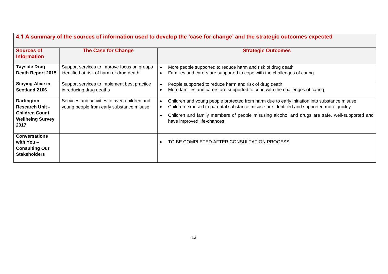| <b>Sources of</b><br><b>Information</b>                                                                 | <b>The Case for Change</b>                                                                | 4.1 A summary of the sources of information used to develop the 'case for change' and the strategic outcomes expected<br><b>Strategic Outcomes</b>                                                                                                                                                                    |
|---------------------------------------------------------------------------------------------------------|-------------------------------------------------------------------------------------------|-----------------------------------------------------------------------------------------------------------------------------------------------------------------------------------------------------------------------------------------------------------------------------------------------------------------------|
| <b>Tayside Drug</b><br>Death Report 2015                                                                | Support services to improve focus on groups<br>identified at risk of harm or drug death   | More people supported to reduce harm and risk of drug death<br>Families and carers are supported to cope with the challenges of caring                                                                                                                                                                                |
| <b>Staying Alive in</b><br>Scotland 2106                                                                | Support services to implement best practice<br>in reducing drug deaths                    | People supported to reduce harm and risk of drug death<br>More families and carers are supported to cope with the challenges of caring<br>$\bullet$                                                                                                                                                                   |
| <b>Dartington</b><br><b>Research Unit -</b><br><b>Children Count</b><br><b>Wellbeing Survey</b><br>2017 | Services and activities to avert children and<br>young people from early substance misuse | Children and young people protected from harm due to early initiation into substance misuse<br>Children exposed to parental substance misuse are identified and supported more quickly<br>Children and family members of people misusing alcohol and drugs are safe, well-supported and<br>have improved life-chances |
| <b>Conversations</b><br>with $You -$<br><b>Consulting Our</b><br><b>Stakeholders</b>                    |                                                                                           | TO BE COMPLETED AFTER CONSULTATION PROCESS<br>$\bullet$                                                                                                                                                                                                                                                               |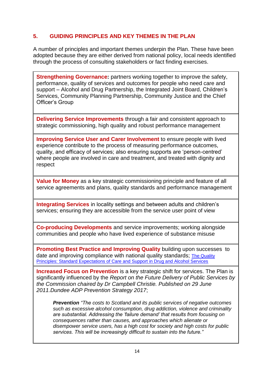# **5. GUIDING PRINCIPLES AND KEY THEMES IN THE PLAN**

A number of principles and important themes underpin the Plan. These have been adopted because they are either derived from national policy, local needs identified through the process of consulting stakeholders or fact finding exercises.

**Strengthening Governance:** partners working together to improve the safety, performance, quality of services and outcomes for people who need care and support – Alcohol and Drug Partnership, the Integrated Joint Board, Children's Services, Community Planning Partnership, Community Justice and the Chief Officer's Group

**Delivering Service Improvements** through a fair and consistent approach to strategic commissioning, high quality and robust performance management

**Improving Service User and Carer Involvement** to ensure people with lived experience contribute to the process of measuring performance outcomes, quality, and efficacy of services; also ensuring supports are 'person-centred' where people are involved in care and treatment, and treated with dignity and respect

**Value for Money** as a key strategic commissioning principle and feature of all service agreements and plans, quality standards and performance management

**Integrating Services** in locality settings and between adults and children's services; ensuring they are accessible from the service user point of view

**Co-producing Developments** and service improvements; working alongside communities and people who have lived experience of substance misuse

**Promoting Best Practice and Improving Quality** building upon successes to date and improving compliance with national quality standards; [The Quality](http://www.gov.scot/Publications/2014/08/1726)  [Principles: Standard Expectations of Care and Support in Drug and Alcohol Services](http://www.gov.scot/Publications/2014/08/1726)

**Increased Focus on Prevention** is a key strategic shift for services. The Plan is significantly influenced by the *Report on the Future Delivery of Public Services by the Commission chaired by Dr Campbell Christie. Published on 29 June 2011.Dundee ADP Prevention Strategy 2017*;

*Prevention "The costs to Scotland and its public services of negative outcomes such as excessive alcohol consumption, drug addiction, violence and criminality are substantial. Addressing the 'failure demand' that results from focusing on consequences rather than causes, and approaches which alienate or disempower service users, has a high cost for society and high costs for public services. This will be increasingly difficult to sustain into the future."*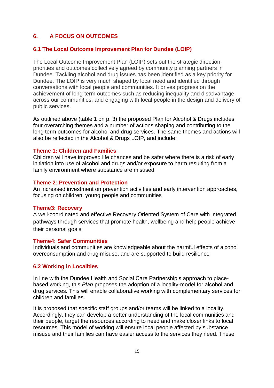# **6. A FOCUS ON OUTCOMES**

#### **6.1 The Local Outcome Improvement Plan for Dundee (LOIP)**

The Local Outcome Improvement Plan (LOIP) sets out the strategic direction, priorities and outcomes collectively agreed by community planning partners in Dundee. Tackling alcohol and drug issues has been identified as a key priority for Dundee. The LOIP is very much shaped by local need and identified through conversations with local people and communities. It drives progress on the achievement of long-term outcomes such as reducing inequality and disadvantage across our communities, and engaging with local people in the design and delivery of public services.

As outlined above (table 1 on p. 3) the proposed Plan for Alcohol & Drugs includes four overarching themes and a number of actions shaping and contributing to the long term outcomes for alcohol and drug services. The same themes and actions will also be reflected in the Alcohol & Drugs LOIP, and include:

#### **Theme 1: Children and Families**

Children will have improved life chances and be safer where there is a risk of early initiation into use of alcohol and drugs and/or exposure to harm resulting from a family environment where substance are misused

#### **Theme 2: Prevention and Protection**

An increased investment on prevention activities and early intervention approaches, focusing on children, young people and communities

#### **Theme3: Recovery**

A well-coordinated and effective Recovery Oriented System of Care with integrated pathways through services that promote health, wellbeing and help people achieve their personal goals

#### **Theme4: Safer Communities**

Individuals and communities are knowledgeable about the harmful effects of alcohol overconsumption and drug misuse, and are supported to build resilience

#### **6.2 Working in Localities**

In line with the Dundee Health and Social Care Partnership's approach to placebased working, this *Plan* proposes the adoption of a locality-model for alcohol and drug services. This will enable collaborative working with complementary services for children and families.

It is proposed that specific staff groups and/or teams will be linked to a locality. Accordingly, they can develop a better understanding of the local communities and their people, target the resources according to need and make closer links to local resources. This model of working will ensure local people affected by substance misuse and their families can have easier access to the services they need. These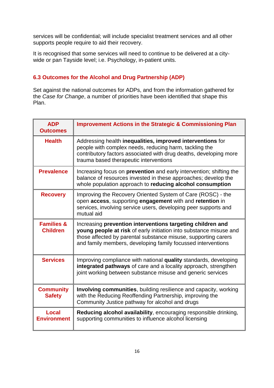services will be confidential; will include specialist treatment services and all other supports people require to aid their recovery.

It is recognised that some services will need to continue to be delivered at a citywide or pan Tayside level; i.e. Psychology, in-patient units.

# **6.3 Outcomes for the Alcohol and Drug Partnership (ADP)**

Set against the national outcomes for ADPs, and from the information gathered for the *Case for Change*, a number of priorities have been identified that shape this Plan.

| <b>ADP</b><br><b>Outcomes</b>            | <b>Improvement Actions in the Strategic &amp; Commissioning Plan</b>                                                                                                                                                                                               |
|------------------------------------------|--------------------------------------------------------------------------------------------------------------------------------------------------------------------------------------------------------------------------------------------------------------------|
| <b>Health</b>                            | Addressing health inequalities, improved interventions for<br>people with complex needs, reducing harm, tackling the<br>contributory factors associated with drug deaths, developing more<br>trauma based therapeutic interventions                                |
| <b>Prevalence</b>                        | Increasing focus on <b>prevention</b> and early intervention; shifting the<br>balance of resources invested in these approaches; develop the<br>whole population approach to reducing alcohol consumption                                                          |
| <b>Recovery</b>                          | Improving the Recovery Oriented System of Care (ROSC) - the<br>open access, supporting engagement with and retention in<br>services, involving service users, developing peer supports and<br>mutual aid                                                           |
| <b>Families &amp;</b><br><b>Children</b> | Increasing prevention interventions targeting children and<br>young people at risk of early initiation into substance misuse and<br>those affected by parental substance misuse, supporting carers<br>and family members, developing family focussed interventions |
| <b>Services</b>                          | Improving compliance with national quality standards, developing<br>integrated pathways of care and a locality approach, strengthen<br>joint working between substance misuse and generic services                                                                 |
| <b>Community</b><br><b>Safety</b>        | <b>Involving communities, building resilience and capacity, working</b><br>with the Reducing Reoffending Partnership, improving the<br>Community Justice pathway for alcohol and drugs                                                                             |
| Local<br><b>Environment</b>              | Reducing alcohol availability, encouraging responsible drinking,<br>supporting communities to influence alcohol licensing                                                                                                                                          |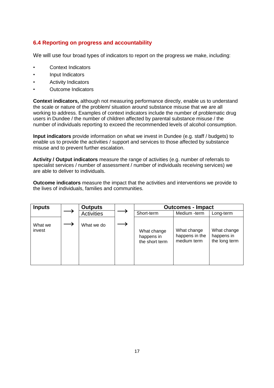# **6.4 Reporting on progress and accountability**

We will use four broad types of indicators to report on the progress we make, including:

- Context Indicators
- Input Indicators
- Activity Indicators
- Outcome Indicators

**Context indicators,** although not measuring performance directly, enable us to understand the scale or nature of the problem/ situation around substance misuse that we are all working to address. Examples of context indicators include the number of problematic drug users in Dundee / the number of children affected by parental substance misuse / the number of individuals reporting to exceed the recommended levels of alcohol consumption.

**Input indicators** provide information on what we invest in Dundee (e.g. staff / budgets) to enable us to provide the activities / support and services to those affected by substance misuse and to prevent further escalation.

**Activity / Output indicators** measure the range of activities (e.g. number of referrals to specialist services / number of assessment / number of individuals receiving services) we are able to deliver to individuals.

**Outcome indicators** measure the impact that the activities and interventions we provide to the lives of individuals, families and communities.

| <b>Inputs</b>     | <b>Outputs</b>    | <b>Outcomes - Impact</b>                    |                                              |                                            |  |
|-------------------|-------------------|---------------------------------------------|----------------------------------------------|--------------------------------------------|--|
|                   | <b>Activities</b> | Short-term                                  | Medium -term                                 | Long-term                                  |  |
| What we<br>invest | What we do        | What change<br>happens in<br>the short term | What change<br>happens in the<br>medium term | What change<br>happens in<br>the long term |  |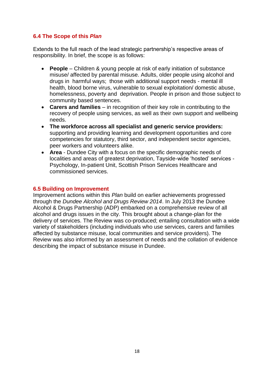# **6.4 The Scope of this** *Plan*

Extends to the full reach of the lead strategic partnership's respective areas of responsibility. In brief, the scope is as follows:

- **People** Children & young people at risk of early initiation of substance misuse/ affected by parental misuse. Adults, older people using alcohol and drugs in harmful ways; those with additional support needs - mental ill health, blood borne virus, vulnerable to sexual exploitation/ domestic abuse, homelessness, poverty and deprivation. People in prison and those subject to community based sentences.
- **Carers and families**  in recognition of their key role in contributing to the recovery of people using services, as well as their own support and wellbeing needs.
- **The workforce across all specialist and generic service providers:** supporting and providing learning and development opportunities and core competencies for statutory, third sector, and independent sector agencies, peer workers and volunteers alike.
- **Area**  Dundee City with a focus on the specific demographic needs of localities and areas of greatest deprivation, Tayside-wide 'hosted' services - Psychology, In-patient Unit, Scottish Prison Services Healthcare and commissioned services.

#### **6.5 Building on Improvement**

Improvement actions within this *Plan* build on earlier achievements progressed through the *Dundee Alcohol and Drugs Review 2014*. In July 2013 the Dundee Alcohol & Drugs Partnership (ADP) embarked on a comprehensive review of all alcohol and drugs issues in the city. This brought about a change-plan for the delivery of services. The Review was co-produced; entailing consultation with a wide variety of stakeholders (including individuals who use services, carers and families affected by substance misuse, local communities and service providers). The Review was also informed by an assessment of needs and the collation of evidence describing the impact of substance misuse in Dundee.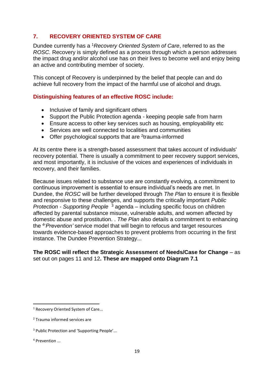# **7. RECOVERY ORIENTED SYSTEM OF CARE**

Dundee currently has a <sup>1</sup>*Recovery Oriented System of Care*, referred to as the *ROSC.* Recovery is simply defined as a process through which a person addresses the impact drug and/or alcohol use has on their lives to become well and enjoy being an active and contributing member of society.

This concept of Recovery is underpinned by the belief that people can and do achieve full recovery from the impact of the harmful use of alcohol and drugs.

# **Distinguishing features of an effective ROSC include:**

- Inclusive of family and significant others
- Support the Public Protection agenda keeping people safe from harm
- Ensure access to other key services such as housing, employability etc
- Services are well connected to localities and communities
- Offer psychological supports that are  $2$ trauma-informed

At its centre there is a strength-based assessment that takes account of individuals' recovery potential. There is usually a commitment to peer recovery support services, and most importantly, it is inclusive of the voices and experiences of individuals in recovery, and their families.

Because issues related to substance use are constantly evolving, a commitment to continuous improvement is essential to ensure individual's needs are met. In Dundee, the *ROSC* will be further developed through *The Plan* to ensure it is flexible and responsive to these challenges, and supports the critically important *Public Protection - Supporting People* <sup>3</sup> agenda – including specific focus on children affected by parental substance misuse, vulnerable adults, and women affected by domestic abuse and prostitution. . *The Plan* also details a commitment to enhancing the <sup>4</sup> '*Prevention'* service model that will begin to refocus and target resources towards evidence-based approaches to prevent problems from occurring in the first instance. The Dundee Prevention Strategy...

### **The ROSC will reflect the Strategic Assessment of Needs/Case for Change** – as set out on pages 11 and 12**. These are mapped onto Diagram 7.1**

1

<sup>&</sup>lt;sup>1</sup> Recovery Oriented System of Care...

<sup>2</sup> Trauma informed services are

<sup>&</sup>lt;sup>3</sup> Public Protection and 'Supporting People'...

<sup>4</sup> Prevention ...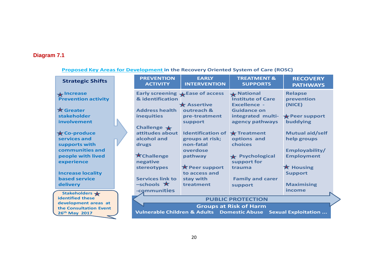# **Diagram 7.1**

### **Proposed Key Areas for Development in the Recovery Oriented System of Care (ROSC)**

| <b>Strategic Shifts</b>    | <b>PREVENTION</b><br><b>ACTIVITY</b>    | <b>EARLY</b><br><b>INTERVENTION</b> | <b>TREATMENT &amp;</b><br><b>SUPPORTS</b>                       | <b>RECOVERY</b><br><b>PATHWAYS</b> |  |
|----------------------------|-----------------------------------------|-------------------------------------|-----------------------------------------------------------------|------------------------------------|--|
| $\bigstar$ Increase        |                                         | Early screening Lease of access     | <b>A</b> National                                               | <b>Relapse</b>                     |  |
| <b>Prevention activity</b> | & identification                        |                                     | <b>Institute of Care</b>                                        | prevention                         |  |
| $\bigstar$ Greater         |                                         | $\bigstar$ Assertive<br>outreach &  | <b>Excellence -</b>                                             | (NICE)                             |  |
|                            | <b>Address health</b>                   |                                     | <b>Guidance on</b>                                              |                                    |  |
| stakeholder                | <b>inequities</b>                       | pre-treatment                       | integrated multi-                                               | $\bigstar$ Peer support            |  |
| involvement                |                                         | support                             | agency pathways                                                 | buddying                           |  |
| $\bigstar$ Co-produce      | Challenge $\bigstar$<br>attitudes about | <b>Identification of</b>            | $\bigstar$ Treatment                                            | <b>Mutual aid/self</b>             |  |
| services and               | alcohol and                             | groups at risk;                     | options and                                                     | help groups                        |  |
| supports with              | drugs                                   | non-fatal                           | choices                                                         |                                    |  |
| communities and            |                                         | overdose                            |                                                                 | Employability/                     |  |
| people with lived          | <b>X</b> Challenge                      | pathway                             | <b>★ Psychological</b>                                          | <b>Employment</b>                  |  |
| experience                 | negative                                |                                     | support for                                                     |                                    |  |
|                            | stereotypes                             | $\bigstar$ Peer support             | trauma                                                          | $\bigstar$ Housing                 |  |
| <b>Increase locality</b>   |                                         | to access and                       |                                                                 | <b>Support</b>                     |  |
| <b>based service</b>       | <b>Services link to</b>                 | stay with                           | <b>Family and carer</b>                                         |                                    |  |
| delivery                   | $-$ schools $\star$                     | treatment                           | support                                                         | <b>Maximising</b>                  |  |
| Stakeholders *             | -communities                            |                                     |                                                                 | income                             |  |
| <b>identified these</b>    |                                         |                                     | <b>PUBLIC PROTECTION</b>                                        |                                    |  |
| development areas at       | <b>Groups at Risk of Harm</b>           |                                     |                                                                 |                                    |  |
| the Consultation Event     |                                         |                                     |                                                                 |                                    |  |
| 26th May 2017              |                                         |                                     | Vulnerable Children & Adults Domestic Abuse Sexual Exploitation |                                    |  |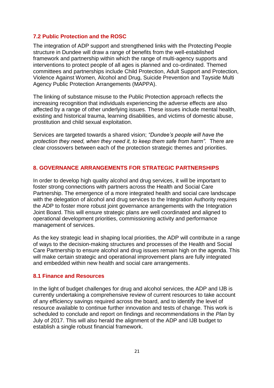## **7.2 Public Protection and the ROSC**

The integration of ADP support and strengthened links with the Protecting People structure in Dundee will draw a range of benefits from the well-established framework and partnership within which the range of multi-agency supports and interventions to protect people of all ages is planned and co-ordinated. Themed committees and partnerships include Child Protection, Adult Support and Protection, Violence Against Women, Alcohol and Drug, Suicide Prevention and Tayside Multi Agency Public Protection Arrangements (MAPPA).

The linking of substance misuse to the Public Protection approach reflects the increasing recognition that individuals experiencing the adverse effects are also affected by a range of other underlying issues. These issues include mental health, existing and historical trauma, learning disabilities, and victims of domestic abuse, prostitution and child sexual exploitation.

Services are targeted towards a shared vision; *"Dundee's people will have the protection they need, when they need it, to keep them safe from harm".* There are clear crossovers between each of the protection strategic themes and priorities.

### **8. GOVERNANCE ARRANGEMENTS FOR STRATEGIC PARTNERSHIPS**

In order to develop high quality alcohol and drug services, it will be important to foster strong connections with partners across the Health and Social Care Partnership. The emergence of a more integrated health and social care landscape with the delegation of alcohol and drug services to the Integration Authority requires the ADP to foster more robust joint governance arrangements with the Integration Joint Board. This will ensure strategic plans are well coordinated and aligned to operational development priorities, commissioning activity and performance management of services.

As the key strategic lead in shaping local priorities, the ADP will contribute in a range of ways to the decision-making structures and processes of the Health and Social Care Partnership to ensure alcohol and drug issues remain high on the agenda. This will make certain strategic and operational improvement plans are fully integrated and embedded within new health and social care arrangements.

#### **8.1 Finance and Resources**

In the light of budget challenges for drug and alcohol services, the ADP and IJB is currently undertaking a comprehensive review of current resources to take account of any efficiency savings required across the board, and to identify the level of resource available to continue further innovation and tests of change. This work is scheduled to conclude and report on findings and recommendations in the *Plan* by July of 2017. This will also herald the alignment of the ADP and IJB budget to establish a single robust financial framework.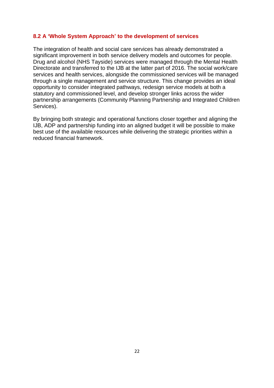### **8.2 A 'Whole System Approach' to the development of services**

The integration of health and social care services has already demonstrated a significant improvement in both service delivery models and outcomes for people. Drug and alcohol (NHS Tayside) services were managed through the Mental Health Directorate and transferred to the IJB at the latter part of 2016. The social work/care services and health services, alongside the commissioned services will be managed through a single management and service structure. This change provides an ideal opportunity to consider integrated pathways, redesign service models at both a statutory and commissioned level, and develop stronger links across the wider partnership arrangements (Community Planning Partnership and Integrated Children Services).

By bringing both strategic and operational functions closer together and aligning the IJB, ADP and partnership funding into an aligned budget it will be possible to make best use of the available resources while delivering the strategic priorities within a reduced financial framework.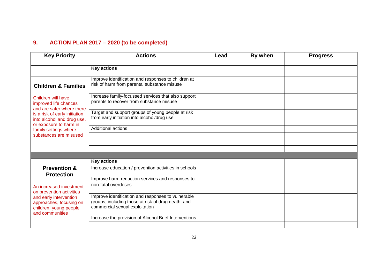# **9. ACTION PLAN 2017 – 2020 (to be completed)**

| <b>Key Priority</b>                                                                                                                                               | <b>Actions</b>                                                                                                                             | Lead | By when | <b>Progress</b> |
|-------------------------------------------------------------------------------------------------------------------------------------------------------------------|--------------------------------------------------------------------------------------------------------------------------------------------|------|---------|-----------------|
|                                                                                                                                                                   |                                                                                                                                            |      |         |                 |
|                                                                                                                                                                   | <b>Key actions</b>                                                                                                                         |      |         |                 |
| <b>Children &amp; Families</b>                                                                                                                                    | Improve identification and responses to children at<br>risk of harm from parental substance misuse                                         |      |         |                 |
| Children will have<br>improved life chances<br>and are safer where there<br>is a risk of early initiation<br>into alcohol and drug use,<br>or exposure to harm in | Increase family-focussed services that also support<br>parents to recover from substance misuse                                            |      |         |                 |
|                                                                                                                                                                   | Target and support groups of young people at risk<br>from early initiation into alcohol/drug use                                           |      |         |                 |
| family settings where                                                                                                                                             | Additional actions                                                                                                                         |      |         |                 |
| substances are misused                                                                                                                                            |                                                                                                                                            |      |         |                 |
|                                                                                                                                                                   |                                                                                                                                            |      |         |                 |
|                                                                                                                                                                   |                                                                                                                                            |      |         |                 |
|                                                                                                                                                                   |                                                                                                                                            |      |         |                 |
|                                                                                                                                                                   | <b>Key actions</b>                                                                                                                         |      |         |                 |
| <b>Prevention &amp;</b><br><b>Protection</b>                                                                                                                      | Increase education / prevention activities in schools                                                                                      |      |         |                 |
| An increased investment<br>on prevention activities<br>and early intervention<br>approaches, focusing on<br>children, young people<br>and communities             | Improve harm reduction services and responses to<br>non-fatal overdoses                                                                    |      |         |                 |
|                                                                                                                                                                   | Improve identification and responses to vulnerable<br>groups, including those at risk of drug death, and<br>commercial sexual exploitation |      |         |                 |
|                                                                                                                                                                   | Increase the provision of Alcohol Brief Interventions                                                                                      |      |         |                 |
|                                                                                                                                                                   |                                                                                                                                            |      |         |                 |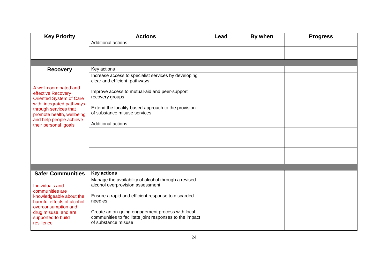| <b>Key Priority</b>                                                              | <b>Actions</b>                                                                                                                     | Lead | By when | <b>Progress</b> |
|----------------------------------------------------------------------------------|------------------------------------------------------------------------------------------------------------------------------------|------|---------|-----------------|
|                                                                                  | Additional actions                                                                                                                 |      |         |                 |
|                                                                                  |                                                                                                                                    |      |         |                 |
|                                                                                  |                                                                                                                                    |      |         |                 |
|                                                                                  |                                                                                                                                    |      |         |                 |
| <b>Recovery</b>                                                                  | Key actions                                                                                                                        |      |         |                 |
| A well-coordinated and                                                           | Increase access to specialist services by developing<br>clear and efficient pathways                                               |      |         |                 |
| effective Recovery<br><b>Oriented System of Care</b><br>with integrated pathways | Improve access to mutual-aid and peer-support<br>recovery groups                                                                   |      |         |                 |
| through services that<br>promote health, wellbeing<br>and help people achieve    | Extend the locality-based approach to the provision<br>of substance misuse services                                                |      |         |                 |
| their personal goals                                                             | Additional actions                                                                                                                 |      |         |                 |
|                                                                                  |                                                                                                                                    |      |         |                 |
|                                                                                  |                                                                                                                                    |      |         |                 |
|                                                                                  |                                                                                                                                    |      |         |                 |
|                                                                                  |                                                                                                                                    |      |         |                 |
|                                                                                  |                                                                                                                                    |      |         |                 |
|                                                                                  |                                                                                                                                    |      |         |                 |
| <b>Safer Communities</b>                                                         | <b>Key actions</b>                                                                                                                 |      |         |                 |
|                                                                                  | Manage the availability of alcohol through a revised                                                                               |      |         |                 |
| Individuals and                                                                  | alcohol overprovision assessment                                                                                                   |      |         |                 |
| communities are<br>knowledgeable about the                                       | Ensure a rapid and efficient response to discarded                                                                                 |      |         |                 |
| harmful effects of alcohol<br>overconsumption and                                | needles                                                                                                                            |      |         |                 |
| drug misuse, and are<br>supported to build<br>resilience                         | Create an on-going engagement process with local<br>communities to facilitate joint responses to the impact<br>of substance misuse |      |         |                 |